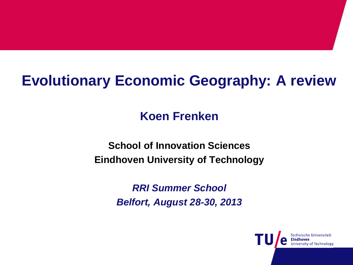# **Evolutionary Economic Geography: A review**

## **Koen Frenken**

#### **School of Innovation Sciences Eindhoven University of Technology**

*RRI Summer School Belfort, August 28-30, 2013*

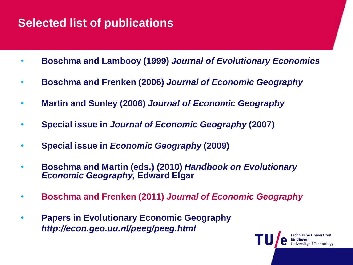#### **Selected list of publications**

- **Boschma and Lambooy (1999)** *Journal of Evolutionary Economics*
- **Boschma and Frenken (2006)** *Journal of Economic Geography*
- **Martin and Sunley (2006)** *Journal of Economic Geography*
- **Special issue in** *Journal of Economic Geography* **(2007)**
- **Special issue in** *Economic Geography* **(2009)**
- **Boschma and Martin (eds.) (2010)** *Handbook on Evolutionary Economic Geography,* **Edward Elgar**
- **Boschma and Frenken (2011)** *Journal of Economic Geography*
- **Papers in Evolutionary Economic Geography** *http://econ.geo.uu.nl/peeg/peeg.html*

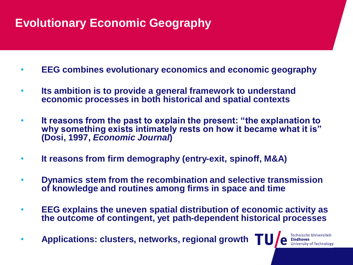## **Evolutionary Economic Geography**

- **EEG combines evolutionary economics and economic geography**
- **Its ambition is to provide a general framework to understand economic processes in both historical and spatial contexts**
- **It reasons from the past to explain the present: "the explanation to why something exists intimately rests on how it became what it is" (Dosi, 1997,** *Economic Journal***)**
- **It reasons from firm demography (entry-exit, spinoff, M&A)**
- **Dynamics stem from the recombination and selective transmission of knowledge and routines among firms in space and time**
- **EEG explains the uneven spatial distribution of economic activity as the outcome of contingent, yet path-dependent historical processes**
- **Applications: clusters, networks, regional growth**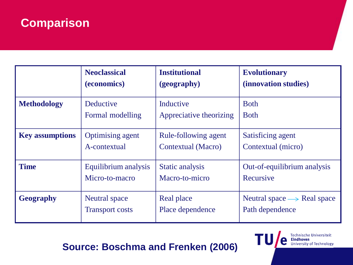#### **Comparison**

|                        | <b>Neoclassical</b>     | <b>Institutional</b>    | <b>Evolutionary</b>                        |
|------------------------|-------------------------|-------------------------|--------------------------------------------|
|                        | (economics)             | (geography)             | (innovation studies)                       |
| <b>Methodology</b>     | Deductive               | Inductive               | <b>B</b> oth                               |
|                        | Formal modelling        | Appreciative theorizing | <b>B</b> oth                               |
| <b>Key assumptions</b> | <b>Optimising agent</b> | Rule-following agent    | Satisficing agent                          |
|                        | A-contextual            | Contextual (Macro)      | Contextual (micro)                         |
| <b>Time</b>            | Equilibrium analysis    | Static analysis         | Out-of-equilibrium analysis                |
|                        | Micro-to-macro          | Macro-to-micro          | Recursive                                  |
| <b>Geography</b>       | <b>Neutral</b> space    | Real place              | Neutral space $\longrightarrow$ Real space |
|                        | <b>Transport costs</b>  | Place dependence        | Path dependence                            |

TU,

e

Technische Universiteit<br>**Eindhoven**<br>University of Technology

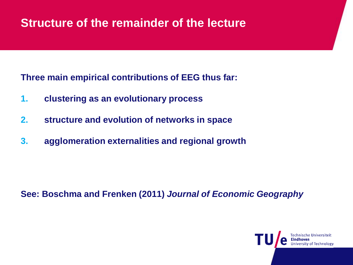#### **Structure of the remainder of the lecture**

**Three main empirical contributions of EEG thus far:**

- **1. clustering as an evolutionary process**
- **2. structure and evolution of networks in space**
- **3. agglomeration externalities and regional growth**

**See: Boschma and Frenken (2011)** *Journal of Economic Geography*

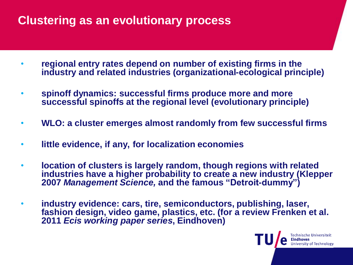### **Clustering as an evolutionary process**

- **regional entry rates depend on number of existing firms in the industry and related industries (organizational-ecological principle)**
- **spinoff dynamics: successful firms produce more and more successful spinoffs at the regional level (evolutionary principle)**
- **WLO: a cluster emerges almost randomly from few successful firms**
- **little evidence, if any, for localization economies**
- **location of clusters is largely random, though regions with related industries have a higher probability to create a new industry (Klepper 2007** *Management Science,* **and the famous "Detroit-dummy")**
- **industry evidence: cars, tire, semiconductors, publishing, laser, fashion design, video game, plastics, etc. (for a review Frenken et al. 2011** *Ecis working paper series***, Eindhoven)**

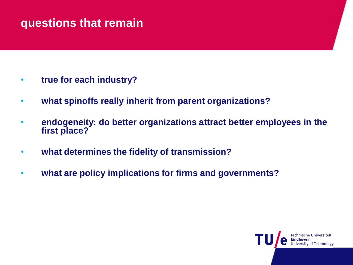#### **questions that remain**

- **true for each industry?**
- **what spinoffs really inherit from parent organizations?**
- **endogeneity: do better organizations attract better employees in the first place?**
- **what determines the fidelity of transmission?**
- **what are policy implications for firms and governments?**

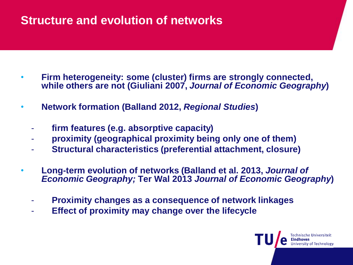#### **Structure and evolution of networks**

- **Firm heterogeneity: some (cluster) firms are strongly connected, while others are not (Giuliani 2007,** *Journal of Economic Geography***)**
- **Network formation (Balland 2012,** *Regional Studies***)**
	- **firm features (e.g. absorptive capacity)**
	- **proximity (geographical proximity being only one of them)**
	- **Structural characteristics (preferential attachment, closure)**
- **Long-term evolution of networks (Balland et al. 2013,** *Journal of Economic Geography;* **Ter Wal 2013** *Journal of Economic Geography***)**
	- **Proximity changes as a consequence of network linkages**
	- **Effect of proximity may change over the lifecycle**

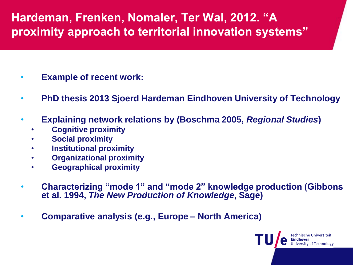## **Hardeman, Frenken, Nomaler, Ter Wal, 2012. "A proximity approach to territorial innovation systems"**

- **Example of recent work:**
- **PhD thesis 2013 Sjoerd Hardeman Eindhoven University of Technology**
- **Explaining network relations by (Boschma 2005,** *Regional Studies***)**
	- **Cognitive proximity**
	- **Social proximity**
	- **Institutional proximity**
	- **Organizational proximity**
	- **Geographical proximity**
- **Characterizing "mode 1" and "mode 2" knowledge production (Gibbons et al. 1994,** *The New Production of Knowledge***, Sage)**
- **Comparative analysis (e.g., Europe – North America)**

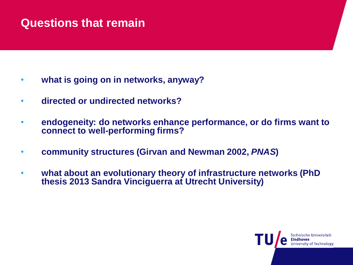#### **Questions that remain**

- **what is going on in networks, anyway?**
- **directed or undirected networks?**
- **endogeneity: do networks enhance performance, or do firms want to connect to well-performing firms?**
- **community structures (Girvan and Newman 2002,** *PNAS***)**
- **what about an evolutionary theory of infrastructure networks (PhD thesis 2013 Sandra Vinciguerra at Utrecht University)**

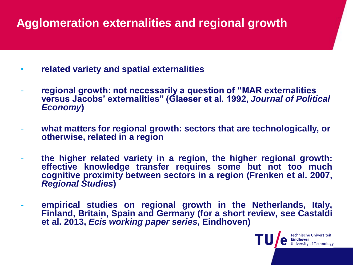## **Agglomeration externalities and regional growth**

- **related variety and spatial externalities**
- **regional growth: not necessarily a question of "MAR externalities versus Jacobs' externalities" (Glaeser et al. 1992,** *Journal of Political Economy***)**
- what matters for regional growth: sectors that are technologically, or **otherwise, related in a region**
- **the higher related variety in a region, the higher regional growth: effective knowledge transfer requires some but not too much cognitive proximity between sectors in a region (Frenken et al. 2007,** *Regional Studies***)**
- **empirical studies on regional growth in the Netherlands, Italy, Finland, Britain, Spain and Germany (for a short review, see Castaldi et al. 2013,** *Ecis working paper series***, Eindhoven)**

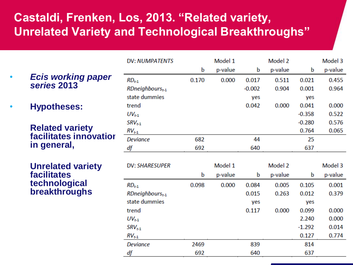## **Castaldi, Frenken, Los, 2013. "Related variety, Unrelated Variety and Technological Breakthroughs"**

• *Ecis working paper series* **2013**

• **Hypotheses:** 

**Related variety facilitates innovation in general,** 

**Unrelated variety facilitates technological breakthroughs**

| <b>DV: NUMPATENTS</b>          |       | Model 1 |          | Model 2 |          | Model 3 |
|--------------------------------|-------|---------|----------|---------|----------|---------|
|                                | b     | p-value | b        | p-value | b        | p-value |
| $RD_{t-1}$                     | 0.170 | 0.000   | 0.017    | 0.511   | 0.021    | 0.455   |
| $RD$ neighbours $_{t-1}$       |       |         | $-0.002$ | 0.904   | 0.001    | 0.964   |
| state dummies                  |       |         | yes      |         | yes      |         |
| trend                          |       |         | 0.042    | 0.000   | 0.041    | 0.000   |
| $UV_{t-1}$                     |       |         |          |         | $-0.358$ | 0.522   |
| $SRV_{t-1}$                    |       |         |          |         | $-0.280$ | 0.576   |
| $RV_{t-1}$                     |       |         |          |         | 0.764    | 0.065   |
| <b>Deviance</b>                | 682   |         | 44       |         | 25       |         |
| df                             | 692   |         | 640      |         | 637      |         |
|                                |       |         |          |         |          |         |
|                                |       |         |          |         |          |         |
| <b>DV: SHARESUPER</b>          |       | Model 1 |          | Model 2 |          | Model 3 |
|                                | b     | p-value | b        | p-value | b        | p-value |
| $RD_{t-1}$                     | 0.098 | 0.000   | 0.084    | 0.005   | 0.105    | 0.001   |
| $RD$ neighbours <sub>t-1</sub> |       |         | 0.015    | 0.263   | 0.012    | 0.379   |
| state dummies                  |       |         | yes      |         | yes      |         |
| trend                          |       |         | 0.117    | 0.000   | 0.099    | 0.000   |
| $UV_{t-1}$                     |       |         |          |         | 2.240    | 0.000   |
| $SRV_{t-1}$                    |       |         |          |         | $-1.292$ | 0.014   |
| $RV_{t-1}$                     |       |         |          |         | 0.127    | 0.774   |
| <b>Deviance</b>                | 2469  |         | 839      |         | 814      |         |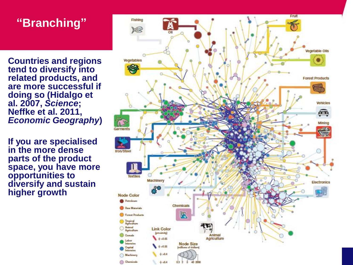## **"Branching"**

• **Countries and regions tend to diversify into related products, and are more successful if doing so (Hidalgo et al. 2007,** *Science***; Neffke et al. 2011,**  *Economic Geography***)**

• **If you are specialised in the more dense parts of the product space, you have more opportunities to diversify and sustain higher growth**

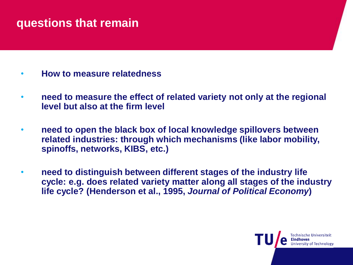#### **questions that remain**

- **How to measure relatedness**
- **need to measure the effect of related variety not only at the regional level but also at the firm level**
- **need to open the black box of local knowledge spillovers between related industries: through which mechanisms (like labor mobility, spinoffs, networks, KIBS, etc.)**
- **need to distinguish between different stages of the industry life cycle: e.g. does related variety matter along all stages of the industry life cycle? (Henderson et al., 1995,** *Journal of Political Economy***)**